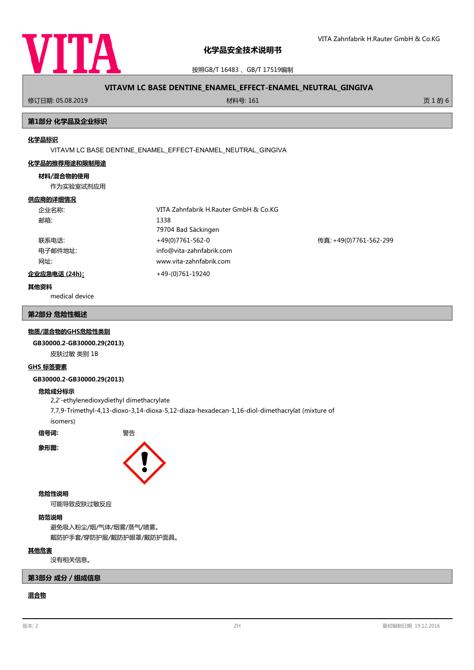

按照GB/T 16483 、GB/T 17519编制

| VITAVM LC BASE DENTINE_ENAMEL_EFFECT-ENAMEL_NEUTRAL_GINGIVA |                                                             |         |  |
|-------------------------------------------------------------|-------------------------------------------------------------|---------|--|
| 修订日期: 05.08.2019                                            | 材料号: 161                                                    | 页 1 的 6 |  |
| 第1部分 化学品及企业标识                                               |                                                             |         |  |
| 化学品标识                                                       | VITAVM LC BASE DENTINE_ENAMEL_EFFECT-ENAMEL_NEUTRAL_GINGIVA |         |  |

#### **化学品的推荐用途和限制用途**

#### **材料/混合物的使用**

作为实验室试剂应用

#### **供应商的详细情况**

| 企业名称:         | VITA Zahnfabrik H.Rauter GmbH & Co.KG |                        |  |
|---------------|---------------------------------------|------------------------|--|
| 邮箱:           | 1338                                  |                        |  |
|               | 79704 Bad Säckingen                   |                        |  |
| 联系电话:         | +49(0)7761-562-0                      | 传真: +49(0)7761-562-299 |  |
| 电子邮件地址:       | info@vita-zahnfabrik.com              |                        |  |
| 网址:           | www.vita-zahnfabrik.com               |                        |  |
| 企业应急电话 (24h): | +49-(0)761-19240                      |                        |  |

#### **其他资料**

medical device

## **第2部分 危险性概述**

#### **物质/混合物的GHS危险性类别**

**GB30000.2-GB30000.29(2013)**

皮肤过敏 类别 1B

### **GHS 标签要素**

#### **GB30000.2-GB30000.29(2013)**

#### **危险成分标示**

2,2'-ethylenedioxydiethyl dimethacrylate

7,7,9-Trimethyl-4,13-dioxo-3,14-dioxa-5,12-diaza-hexadecan-1,16-diol-dimethacrylat (mixture of isomers)

**信号词:** 警告





### **危险性说明**

可能导致皮肤过敏反应

# **防范说明**

避免吸入粉尘/烟/气体/烟雾/蒸气/啧雾。 戴防护手套/穿防护服/戴防护眼罩/戴防护面具。

#### **其他危害**

没有相关信息。

# **第3部分 成分/组成信息**

# **混合物**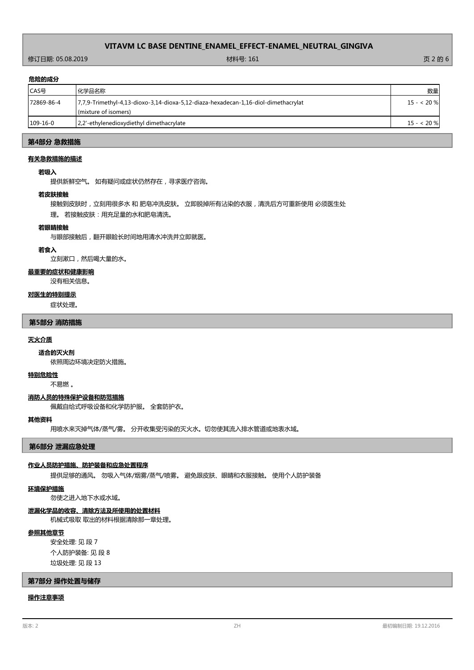# 修订日期: 05.08.2019 材料号: 161 页 2 的 6

## **危险的成分**

| .          |                                                                                                            |            |
|------------|------------------------------------------------------------------------------------------------------------|------------|
| CAS号       | 化学品名称                                                                                                      | 数量         |
| 72869-86-4 | 7,7,9-Trimethyl-4,13-dioxo-3,14-dioxa-5,12-diaza-hexadecan-1,16-diol-dimethacrylat<br>(mixture of isomers) | $15 - 20%$ |
| $109-16-0$ | 2,2'-ethylenedioxydiethyl dimethacrylate                                                                   | $15 - 20%$ |

# **第4部分 急救措施**

# **有关急救措施的描述**

### **若吸入**

提供新鲜空气。 如有疑问或症状仍然存在,寻求医疗咨询。

#### **若皮肤接触**

接触到皮肤时,立刻用很多水 和 肥皂冲洗皮肤。 立即脱掉所有沾染的衣服,清洗后方可重新使用 必须医生处

理。 若接触皮肤:用充足量的水和肥皂清洗。

#### **若眼睛接触**

与眼部接触后,翻开眼睑长时间地用清水冲洗并立即就医。

#### **若食入**

立刻漱口,然后喝大量的水。

# **最重要的症状和健康影响**

没有相关信息。

#### **对医生的特别提示**

症状处理。

# **第5部分 消防措施**

### **灭火介质**

依照周边环境决定防火措施。 **适合的灭火剂**

#### **特别危险性**

不易燃 。

#### **消防人员的特殊保护设备和防范措施**

佩戴自给式呼吸设备和化学防护服。 全套防护衣。

## **其他资料**

用喷水来灭掉气体/蒸气/雾。 分开收集受污染的灭火水。切勿使其流入排水管道或地表水域。

**第6部分 泄漏应急处理**

# **作业人员防护措施、防护装备和应急处置程序**

提供足够的通风。 勿吸入气体/烟雾/蒸气/喷雾。 避免跟皮肤、眼睛和衣服接触。 使用个人防护装备

#### **环境保护措施**

勿使之进入地下水或水域。

## **泄漏化学品的收容、清除方法及所使用的处置材料**

机械式吸取 取出的材料根据清除那一章处理。

#### **参照其他章节**

安全处理: 见 段 7 个人防护装备: 见 段 8 垃圾处理: 见 段 13

## **第7部分 操作处置与储存**

# **操作注意事项**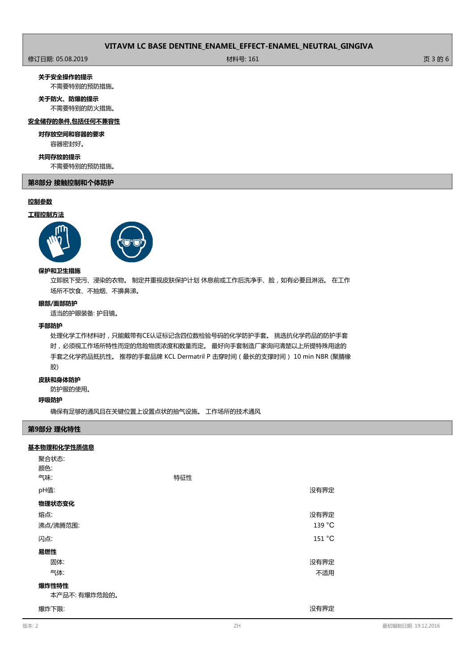修订日期: 05.08.2019 材料号: 161 页 3 的 6

**关于安全操作的提示**

不需要特别的预防措施。

# **关于防火、防爆的提示**

不需要特别的防火措施。

# **安全储存的条件,包括任何不兼容性**

#### **对存放空间和容器的要求**

容器密封好。

# **共同存放的提示**

不需要特别的预防措施。

# **第8部分 接触控制和个体防护**

# **控制参数**

# **工程控制方法**



## **保护和卫生措施**

立即脱下受污、浸染的衣物。 制定并重视皮肤保护计划 休息前或工作后洗净手、脸,如有必要且淋浴。 在工作 场所不饮食、不抽烟、不擤鼻涕。

### **眼部/面部防护**

适当的护眼装备: 护目镜。

### **手部防护**

处理化学工作材料时,只能戴带有CE认证标记含四位数检验号码的化学防护手套。 挑选抗化学药品的防护手套 时,必须视工作场所特性而定的危险物质浓度和数量而定。 最好向手套制造厂家询问清楚以上所提特殊用途的 手套之化学药品抵抗性。 推荐的手套品牌 KCL Dermatril P 击穿时间(最长的支撑时间) 10 min NBR (聚腈橡 胶)

#### **皮肤和身体防护**

防护服的使用。

# **呼吸防护**

确保有足够的通风且在关键位置上设置点状的抽气设施。 工作场所的技术通风

# **第9部分 理化特性**

# **基本物理和化学性质信息**

| 聚合状态:<br>颜色: |     |        |  |
|--------------|-----|--------|--|
| 气味:          | 特征性 |        |  |
| pH值:         |     | 没有界定   |  |
| 物理状态变化       |     |        |  |
| 熔点:          |     | 没有界定   |  |
| 沸点/沸腾范围:     |     | 139 °C |  |
| 闪点:          |     | 151 °C |  |
| 易燃性          |     |        |  |
| 固体:          |     | 没有界定   |  |
| 气体:          |     | 不适用    |  |
| 爆炸性特性        |     |        |  |
| 本产品不:有爆炸危险的。 |     |        |  |
| 爆炸下限:        |     | 没有界定   |  |
|              |     |        |  |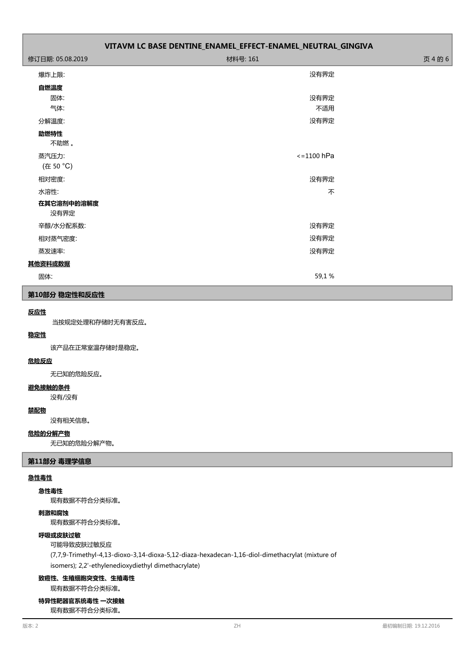| 修订日期: 05.08.2019   | 材料号: 161        | 页 4 的 6 |
|--------------------|-----------------|---------|
| 爆炸上限:              | 没有界定            |         |
| 自燃温度               |                 |         |
| 固体:                | 没有界定            |         |
| 气体:                | 不适用             |         |
| 分解温度:              | 没有界定            |         |
| 助燃特性<br>不助燃。       |                 |         |
| 蒸汽压力:<br>(在 50 °C) | $\le$ =1100 hPa |         |
| 相对密度:              | 没有界定            |         |
| 水溶性:               | 不               |         |
| 在其它溶剂中的溶解度<br>没有界定 |                 |         |
| 辛醇/水分配系数:          | 没有界定            |         |
| 相对蒸气密度:            | 没有界定            |         |
| 蒸发速率:              | 没有界定            |         |
| 其他资料或数据            |                 |         |
| 固体:                | 59,1%           |         |

## **第10部分 稳定性和反应性**

# **反应性**

当按规定处理和存储时无有害反应。

# **稳定性**

该产品在正常室温存储时是稳定。

## **危险反应**

无已知的危险反应。

# **避免接触的条件**

没有/没有

# **禁配物**

没有相关信息。

## **危险的分解产物**

无已知的危险分解产物。

# **第11部分 毒理学信息**

## **急性毒性**

**急性毒性**

现有数据不符合分类标准。

# **刺激和腐蚀**

现有数据不符合分类标准。

# **呼吸或皮肤过敏**

可能导致皮肤过敏反应 (7,7,9-Trimethyl-4,13-dioxo-3,14-dioxa-5,12-diaza-hexadecan-1,16-diol-dimethacrylat (mixture of isomers); 2,2'-ethylenedioxydiethyl dimethacrylate)

#### **致癌性、生殖细胞突变性、生殖毒性**

现有数据不符合分类标准。

# **特异性靶器官系统毒性 一次接触**

现有数据不符合分类标准。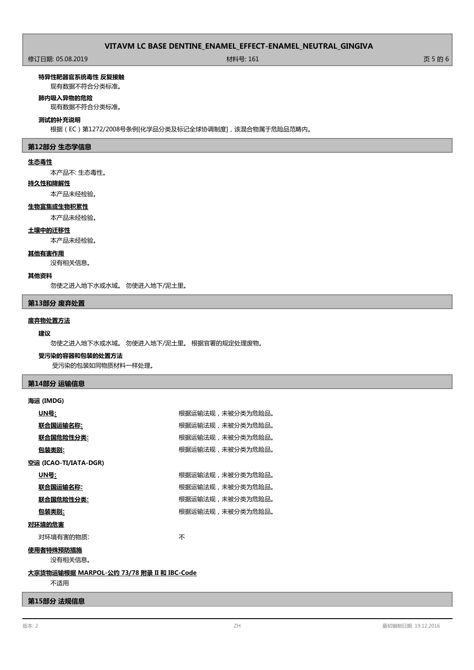修订日期: 05.08.2019 材料号: 161 页 5 的 6

**特异性靶器官系统毒性 反复接触**

现有数据不符合分类标准。

#### **肺内吸入异物的危险**

现有数据不符合分类标准。

#### **测试的补充说明**

根据(EC)第1272/2008号条例[化学品分类及标记全球协调制度],该混合物属于危险品范畴内。

## **第12部分 生态学信息**

# **生态毒性**

本产品不: 生态毒性。

## **持久性和降解性**

本产品未经检验。

## **生物富集或生物积累性**

本产品未经检验。

#### **土壤中的迁移性**

本产品未经检验。

# **其他有害作用**

没有相关信息。

## **其他资料**

勿使之进入地下水或水域。 勿使进入地下/泥土里。

#### **第13部分 废弃处置**

## **废弃物处置方法**

## **建议**

勿使之进入地下水或水域。 勿使进入地下/泥土里。 根据官署的规定处理废物。

## **受污染的容器和包装的处置方法**

受污染的包装如同物质材料一样处理。

# **第14部分 运输信息**

## **海运 (IMDG)**

| <u> UN号:</u>                              | 根据运输法规,未被分类为危险品。 |  |
|-------------------------------------------|------------------|--|
| <u> 联合国运输名称:</u>                          | 根据运输法规,未被分类为危险品。 |  |
| 联合国危险性分类:                                 | 根据运输法规,未被分类为危险品。 |  |
| <u>包装类别:</u>                              | 根据运输法规,未被分类为危险品。 |  |
| 空运 (ICAO-TI/IATA-DGR)                     |                  |  |
| <u> UN号:</u>                              | 根据运输法规,未被分类为危险品。 |  |
| 联合国运输名称:                                  | 根据运输法规,未被分类为危险品。 |  |
| <u> 联合国危险性分类:</u>                         | 根据运输法规,未被分类为危险品。 |  |
| 包装类别:                                     | 根据运输法规,未被分类为危险品。 |  |
| 对环境的危害                                    |                  |  |
| 对环境有害的物质:                                 | 不                |  |
| 使用者特殊预防措施                                 |                  |  |
| 没有相关信息。                                   |                  |  |
| 大宗货物运输根据 MARPOL-公约 73/78 附录 II 和 IBC-Code |                  |  |

不适用

# **第15部分 法规信息**